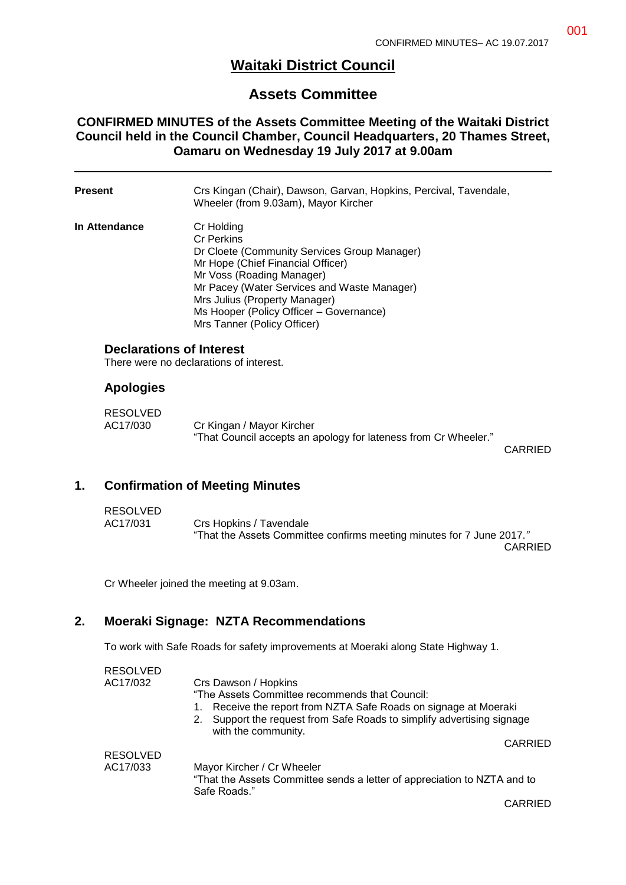# **Waitaki District Council**

## **Assets Committee**

#### **CONFIRMED MINUTES of the Assets Committee Meeting of the Waitaki District Council held in the Council Chamber, Council Headquarters, 20 Thames Street, Oamaru on Wednesday 19 July 2017 at 9.00am**

| Present                     | Crs Kingan (Chair), Dawson, Garvan, Hopkins, Percival, Tavendale,<br>Wheeler (from 9.03am), Mayor Kircher                                                                                                                                                                                                   |
|-----------------------------|-------------------------------------------------------------------------------------------------------------------------------------------------------------------------------------------------------------------------------------------------------------------------------------------------------------|
| In Attendance               | Cr Holding<br><b>Cr Perkins</b><br>Dr Cloete (Community Services Group Manager)<br>Mr Hope (Chief Financial Officer)<br>Mr Voss (Roading Manager)<br>Mr Pacey (Water Services and Waste Manager)<br>Mrs Julius (Property Manager)<br>Ms Hooper (Policy Officer - Governance)<br>Mrs Tanner (Policy Officer) |
|                             | <b>Declarations of Interest</b><br>There were no declarations of interest.                                                                                                                                                                                                                                  |
| <b>Apologies</b>            |                                                                                                                                                                                                                                                                                                             |
| <b>RESOLVED</b><br>AC17/030 | Cr Kingan / Mayor Kircher<br>"That Council accepts an apology for lateness from Cr Wheeler."                                                                                                                                                                                                                |

### **1. Confirmation of Meeting Minutes**

| RESOLVED |                                                                       |
|----------|-----------------------------------------------------------------------|
| AC17/031 | Crs Hopkins / Tavendale                                               |
|          | "That the Assets Committee confirms meeting minutes for 7 June 2017." |
|          | <b>CARRIED</b>                                                        |

Cr Wheeler joined the meeting at 9.03am.

#### **2. Moeraki Signage: NZTA Recommendations**

To work with Safe Roads for safety improvements at Moeraki along State Highway 1.

| <b>RESOLVED</b> |                                                                                          |
|-----------------|------------------------------------------------------------------------------------------|
| AC17/032        | Crs Dawson / Hopkins                                                                     |
|                 | "The Assets Committee recommends that Council:                                           |
|                 | Receive the report from NZTA Safe Roads on signage at Moeraki<br>1.                      |
|                 | 2. Support the request from Safe Roads to simplify advertising signage                   |
|                 | with the community.                                                                      |
|                 | CARRIED                                                                                  |
| <b>RESOLVED</b> |                                                                                          |
| AC17/033        | Mayor Kircher / Cr Wheeler                                                               |
|                 | "That the Assets Committee sends a letter of appreciation to NZTA and to<br>Safe Roads." |
|                 | CARRIED                                                                                  |

CARRIED